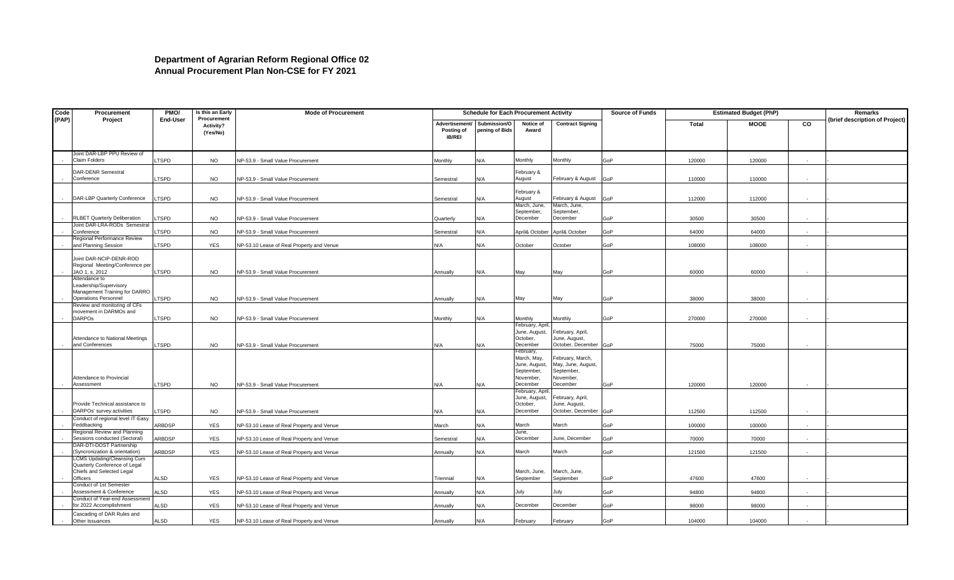| Code  | Procurement                                                              | PMO/         | Is this an Early                | <b>Mode of Procurement</b>                | <b>Schedule for Each Procurement Activity</b> |                                |                             |                                        | <b>Source of Funds</b> | <b>Estimated Budget (PhP)</b> |             |                          | Remarks                        |
|-------|--------------------------------------------------------------------------|--------------|---------------------------------|-------------------------------------------|-----------------------------------------------|--------------------------------|-----------------------------|----------------------------------------|------------------------|-------------------------------|-------------|--------------------------|--------------------------------|
| (PAP) | Project                                                                  | End-User     | Procurement<br><b>Activity?</b> |                                           | Advertisement/<br>Posting of                  | Submission/O<br>pening of Bids | <b>Notice of</b><br>Award   | <b>Contract Signing</b>                |                        | Total                         | <b>MOOE</b> | CO.                      | (brief description of Project) |
|       |                                                                          |              | (Yes/No)                        |                                           | <b>IB/REI</b>                                 |                                |                             |                                        |                        |                               |             |                          |                                |
|       | Joint DAR-LBP PPU Review of<br><b>Claim Folders</b>                      | LTSPD        | <b>NO</b>                       | NP-53.9 - Small Value Procurement         | Monthly                                       | N/A                            | Monthly                     | Monthly                                | GoP                    | 120000                        | 120000      | $\overline{\phantom{a}}$ |                                |
|       | DAR-DENR Semestral                                                       |              |                                 |                                           |                                               |                                | February &                  |                                        |                        |                               |             |                          |                                |
|       | Conference                                                               | LTSPD        | <b>NO</b>                       | NP-53.9 - Small Value Procurement         | Semestral                                     | N/A                            | August                      | February & August                      | GoP                    | 110000                        | 110000      | $\overline{\phantom{a}}$ |                                |
|       | DAR-LBP Quarterly Conference                                             | LTSPD        | <b>NO</b>                       | NP-53.9 - Small Value Procurement         | Semestral                                     | N/A                            | February &<br>August        | February & August                      | GoP                    | 112000                        | 112000      | $\sim$                   |                                |
|       |                                                                          |              |                                 |                                           |                                               |                                | March, June,<br>September,  | March, June,<br>September,             |                        |                               |             |                          |                                |
|       | <b>RLBET Quarterly Deliberation</b><br>Joint DAR-LRA-RODs Semestral      | <b>LTSPD</b> | <b>NO</b>                       | NP-53.9 - Small Value Procurement         | Quarterly                                     | N/A                            | December                    | December                               | GoP                    | 30500                         | 30500       | $\sim$                   |                                |
|       | Conference<br>Regional Performance Review                                | LTSPD        | <b>NO</b>                       | NP-53.9 - Small Value Procurement         | Semestral                                     | N/A                            | April& October              | April& October                         | GoP                    | 64000                         | 64000       | $\sim$                   |                                |
|       | and Planning Session                                                     | <b>LTSPD</b> | YES                             | NP-53.10 Lease of Real Property and Venue | N/A                                           | N/A                            | October                     | October                                | GoP                    | 108000                        | 108000      |                          |                                |
|       | Joint DAR-NCIP-DENR-ROD<br>Regional Meeting/Conference per               |              |                                 |                                           |                                               |                                |                             |                                        |                        |                               |             |                          |                                |
|       | JAO 1, s. 2012                                                           | <b>LTSPD</b> | <b>NO</b>                       | NP-53.9 - Small Value Procurement         | Annually                                      | N/A                            | May                         | May                                    | GoP                    | 60000                         | 60000       | $\overline{\phantom{a}}$ |                                |
|       | Attendance to<br>Leadership/Supervisory<br>Management Training for DARRO |              |                                 |                                           |                                               |                                |                             |                                        |                        |                               |             |                          |                                |
|       | <b>Operations Personnel</b><br>Review and monitoring of CFs              | <b>LTSPD</b> | <b>NO</b>                       | NP-53.9 - Small Value Procurement         | Annually                                      | N/A                            | May                         | May                                    | GoP                    | 38000                         | 38000       | $\overline{\phantom{a}}$ |                                |
|       | movement in DARMOs and<br><b>DARPOS</b>                                  | <b>LTSPD</b> | <b>NO</b>                       | NP-53.9 - Small Value Procurement         | Monthly                                       | N/A                            | Monthly                     | Monthly                                | GoP                    | 270000                        | 270000      | $\sim$                   |                                |
|       |                                                                          |              |                                 |                                           |                                               |                                | February, April             |                                        |                        |                               |             |                          |                                |
|       | Attendance to National Meetings                                          |              |                                 |                                           |                                               |                                | June, August,<br>October,   | February, April,<br>June, August,      |                        |                               |             |                          |                                |
|       | and Conferences                                                          | LTSPD        | <b>NO</b>                       | NP-53.9 - Small Value Procurement         | N/A                                           | N/A                            | December                    | October, December GoP                  |                        | 75000                         | 75000       | $\overline{a}$           |                                |
|       |                                                                          |              |                                 |                                           |                                               |                                | -ebruary,<br>March, May,    | February, March,                       |                        |                               |             |                          |                                |
|       |                                                                          |              |                                 |                                           |                                               |                                | June, August<br>September,  | May, June, August,<br>September,       |                        |                               |             |                          |                                |
|       | Attendance to Provincial                                                 |              |                                 |                                           |                                               |                                | November,                   | November,                              |                        |                               |             |                          |                                |
|       | Assessment                                                               | <b>LTSPD</b> | <b>NO</b>                       | NP-53.9 - Small Value Procurement         | N/A                                           | N/A                            | December<br>February, April | December                               | GoP                    | 120000                        | 120000      | $\epsilon$               |                                |
|       |                                                                          |              |                                 |                                           |                                               |                                | June, August,<br>October,   | February, April,                       |                        |                               |             |                          |                                |
|       | Provide Technical assistance to<br>DARPOs' survey activities             | LTSPD        | <b>NO</b>                       | NP-53.9 - Small Value Procurement         | N/A                                           | N/A                            | December                    | June, August,<br>October, December GoP |                        | 112500                        | 112500      | $\overline{\phantom{a}}$ |                                |
|       | Conduct of regional level IT-Easy<br>Feddbacking                         | ARBDSP       | YES                             | NP-53.10 Lease of Real Property and Venue | March                                         | N/A                            | March                       | March                                  | GoP                    | 100000                        | 100000      |                          |                                |
|       | Regional Review and Planning                                             |              |                                 |                                           |                                               |                                | June,                       |                                        |                        |                               |             |                          |                                |
|       | Sessions conducted (Sectoral)<br>DAR-DTI-DOST Partnership                | ARBDSP       | <b>YES</b>                      | NP-53.10 Lease of Real Property and Venue | Semestral                                     | N/A                            | December                    | June, December                         | GoP                    | 70000                         | 70000       | $\sim$                   |                                |
|       | (Syncronization & orientation)                                           | ARBDSP       | YES                             | NP-53.10 Lease of Real Property and Venue | Annually                                      | N/A                            | March                       | March                                  | GoP                    | 121500                        | 121500      | $\epsilon$               |                                |
|       | LCMS Updating/Cleansing Cum<br>Quarterly Conference of Legal             |              |                                 |                                           |                                               |                                |                             |                                        |                        |                               |             |                          |                                |
|       | Chiefs and Selected Legal<br>Officers                                    | <b>ALSD</b>  | YES                             | NP-53.10 Lease of Real Property and Venue | Triennial                                     | N/A                            | March, June,<br>September   | March, June,<br>September              | GoP                    | 47600                         | 47600       | $\epsilon$               |                                |
|       | Conduct of 1st Semester<br>Assessment & Conference                       | ALSD         | YES                             | NP-53.10 Lease of Real Property and Venue | Annually                                      | N/A                            | July                        | July                                   | GoP                    | 94800                         | 94800       | $\sim$                   |                                |
|       | Conduct of Year-end Assessment<br>for 2022 Accomplishment                | <b>ALSD</b>  | <b>YES</b>                      | NP-53.10 Lease of Real Property and Venue | Annually                                      | N/A                            | December                    | December                               | GoP                    | 98000                         | 98000       | $\sim$                   |                                |
|       | Cascading of DAR Rules and<br>Other Issuances                            | <b>ALSD</b>  | <b>YES</b>                      | NP-53.10 Lease of Real Property and Venue | Annually                                      | N/A                            | February                    | February                               | GoP                    | 104000                        | 104000      |                          |                                |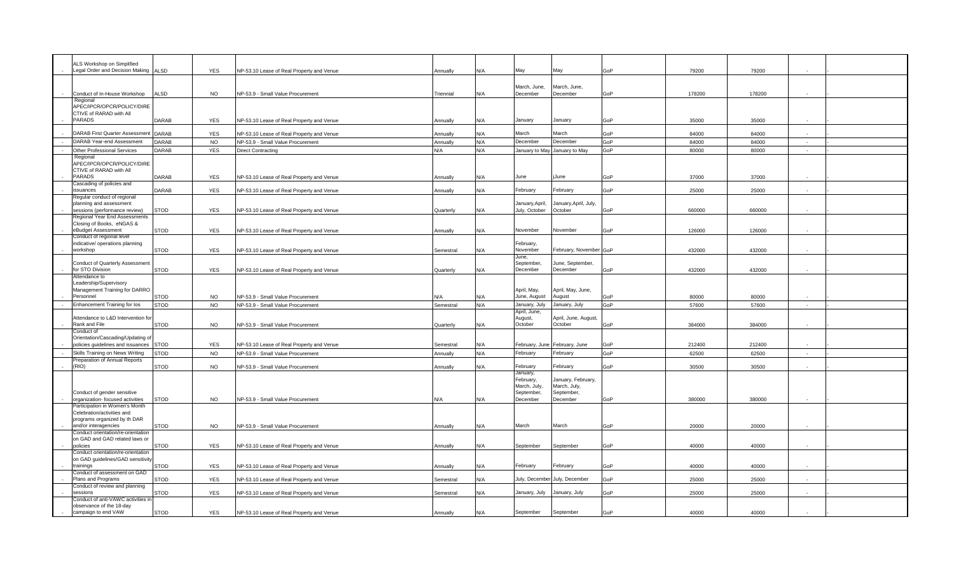| ALS Workshop on Simplified                                             |              |            |                                           |           |     |                                  |                                 |     |        |        |        |  |
|------------------------------------------------------------------------|--------------|------------|-------------------------------------------|-----------|-----|----------------------------------|---------------------------------|-----|--------|--------|--------|--|
| Legal Order and Decision Making                                        | ALSD         | YES        | NP-53.10 Lease of Real Property and Venue | Annually  | N/A | May                              | May                             | GoP | 79200  | 79200  |        |  |
|                                                                        |              |            |                                           |           |     | March, June,                     | March, June,                    |     |        |        |        |  |
| Conduct of In-House Workshop                                           | <b>ALSD</b>  | <b>NO</b>  | NP-53.9 - Small Value Procurement         | Triennial | N/A | December                         | December                        | GoP | 178200 | 178200 |        |  |
| Regional                                                               |              |            |                                           |           |     |                                  |                                 |     |        |        |        |  |
| APEC/IPCR/OPCR/POLICY/DIRE<br>CTIVE of RARAD with All                  |              |            |                                           |           |     |                                  |                                 |     |        |        |        |  |
| <b>PARADS</b>                                                          | <b>DARAB</b> | YES        | NP-53.10 Lease of Real Property and Venue | Annually  | N/A | January                          | January                         | GoP | 35000  | 35000  |        |  |
| <b>DARAB First Quarter Assessmer</b>                                   | <b>DARAB</b> | <b>YES</b> | NP-53.10 Lease of Real Property and Venue | Annually  | N/A | March                            | March                           | GoP | 84000  | 84000  |        |  |
| DARAB Year-end Assessment                                              | DARAB        | <b>NO</b>  | NP-53.9 - Small Value Procurement         | Annually  | N/A | December                         | December                        | GoP | 84000  | 84000  | n.     |  |
| Other Professional Services                                            | <b>DARAB</b> | <b>YES</b> | <b>Direct Contracting</b>                 | N/A       | N/A |                                  | January to May January to May   | GoP | 80000  | 80000  | $\sim$ |  |
| Regional<br>APEC/IPCR/OPCR/POLICY/DIRE                                 |              |            |                                           |           |     |                                  |                                 |     |        |        |        |  |
| CTIVE of RARAD with All                                                |              |            |                                           |           |     |                                  |                                 |     |        |        |        |  |
| <b>PARADS</b>                                                          | <b>DARAB</b> | YES        | NP-53.10 Lease of Real Property and Venue | Annually  | N/A | June                             | jJune                           | GoP | 37000  | 37000  |        |  |
| Cascading of policies and<br>issuances                                 | DARAB        | YES        | NP-53.10 Lease of Real Property and Venue | Annually  | N/A | February                         | February                        | GoP | 25000  | 25000  |        |  |
| Regular conduct of regional                                            |              |            |                                           |           |     |                                  |                                 |     |        |        |        |  |
| planning and assessment<br>sessions (performance review)               | <b>STOD</b>  | YES        | NP-53.10 Lease of Real Property and Venue | Quarterly | N/A | January, April,<br>July, October | January,April, July,<br>October | GoP | 660000 | 660000 |        |  |
| Regional Year End Assessments                                          |              |            |                                           |           |     |                                  |                                 |     |        |        |        |  |
| Closing of Books, eNGAS &<br>eBudget Assessment                        | STOD         | <b>YES</b> | NP-53.10 Lease of Real Property and Venue | Annually  | N/A | November                         | November                        | GoP | 126000 | 126000 |        |  |
| Conduct of regional level                                              |              |            |                                           |           |     |                                  |                                 |     |        |        |        |  |
| indicative/ operations planning<br>workshop                            | STOD         | YES        | NP-53.10 Lease of Real Property and Venue | Semestral | N/A | February,<br>November            | February, November GoP          |     | 432000 | 432000 |        |  |
|                                                                        |              |            |                                           |           |     | June,                            |                                 |     |        |        |        |  |
| Conduct of Quarterly Assessment<br>for STO Division                    | STOD         | YES        |                                           |           |     | September,                       | June, September,                |     |        |        |        |  |
| Attendance to                                                          |              |            | NP-53.10 Lease of Real Property and Venue | Quarterly | N/A | December                         | December                        | GoP | 432000 | 432000 |        |  |
| Leadership/Supervisory                                                 |              |            |                                           |           |     |                                  |                                 |     |        |        |        |  |
| Management Training for DARRO<br>Personnel                             | STOD         | <b>NO</b>  | NP-53.9 - Small Value Procurement         | N/A       | N/A | April, May,<br>June, August      | April, May, June,<br>August     | GoP | 80000  | 80000  |        |  |
| Enhancement Training for los                                           | <b>STOD</b>  | <b>NO</b>  | NP-53.9 - Small Value Procurement         | Semestral | N/A | January, July                    | January, July                   | GoP | 57600  | 57600  | $\sim$ |  |
|                                                                        |              |            |                                           |           |     | April, June,                     |                                 |     |        |        |        |  |
| Attendance to L&D Intervention for<br>Rank and File                    | <b>STOD</b>  | <b>NO</b>  | NP-53.9 - Small Value Procurement         | Quarterly | N/A | August,<br>October               | April, June, August,<br>October | GoP | 384000 | 384000 |        |  |
| Conduct of                                                             |              |            |                                           |           |     |                                  |                                 |     |        |        |        |  |
| Orientation/Cascading/Updating of<br>policies guidelines and issuances | <b>STOD</b>  | YES        | NP-53.10 Lease of Real Property and Venue | Semestral | N/A | February, June February, June    |                                 | GoP | 212400 | 212400 |        |  |
| Skills Training on News Writing                                        | STOD         | <b>NO</b>  | NP-53.9 - Small Value Procurement         | Annually  | N/A | February                         | February                        | GoP | 62500  | 62500  | $\sim$ |  |
| Preparation of Annual Reports                                          |              |            |                                           |           |     |                                  |                                 |     |        |        |        |  |
| (RIO)                                                                  | <b>STOD</b>  | <b>NO</b>  | NP-53.9 - Small Value Procurement         | Annually  | N/A | February<br>January,             | February                        | GoP | 30500  | 30500  |        |  |
|                                                                        |              |            |                                           |           |     | February,                        | January, February,              |     |        |        |        |  |
| Conduct of gender sensitive                                            |              |            |                                           |           |     | March, July,<br>September,       | March, July,<br>September,      |     |        |        |        |  |
| organization- focused activities                                       | <b>STOD</b>  | <b>NO</b>  | NP-53.9 - Small Value Procurement         | N/A       | N/A | December                         | December                        | GoP | 380000 | 380000 |        |  |
| Participation in Women's Month<br>Celebration/activities and           |              |            |                                           |           |     |                                  |                                 |     |        |        |        |  |
| programs organized by th DAR                                           |              |            |                                           |           |     |                                  |                                 |     |        |        |        |  |
| and/or interagencies<br>Conduct orientation/re-orientation             | <b>STOD</b>  | <b>NO</b>  | NP-53.9 - Small Value Procurement         | Annually  | N/A | March                            | March                           | GoP | 20000  | 20000  |        |  |
| on GAD and GAD related laws or                                         |              |            |                                           |           |     |                                  |                                 |     |        |        |        |  |
| policies<br>Conduct orientation/re-orientation                         | STOD         | YES        | NP-53.10 Lease of Real Property and Venue | Annually  | N/A | September                        | September                       | GoP | 40000  | 40000  | $\sim$ |  |
| on GAD guidelines/GAD sensitivity                                      |              |            |                                           |           |     |                                  |                                 |     |        |        |        |  |
| trainings                                                              | STOD         | YES        | NP-53.10 Lease of Real Property and Venue | Annually  | N/A | February                         | February                        | GoP | 40000  | 40000  |        |  |
| Conduct of assessment on GAD<br>Plans and Programs                     | STOD         | YES        | NP-53.10 Lease of Real Property and Venue | Semestral | N/A |                                  | July, December July, December   | GoP | 25000  | 25000  |        |  |
| Conduct of review and planning                                         |              |            |                                           |           |     |                                  |                                 |     |        |        |        |  |
| sessions<br>Conduct of anti-VAWC activities in                         | <b>STOD</b>  | YES        | NP-53.10 Lease of Real Property and Venue | Semestral | N/A | January, July                    | January, July                   | GoP | 25000  | 25000  | $\sim$ |  |
| observance of the 18-day                                               |              |            |                                           |           |     |                                  |                                 |     |        |        |        |  |
| campaign to end VAW                                                    | <b>STOD</b>  | <b>YES</b> | NP-53.10 Lease of Real Property and Venue | Annually  | N/A | September                        | September                       | GoP | 40000  | 40000  |        |  |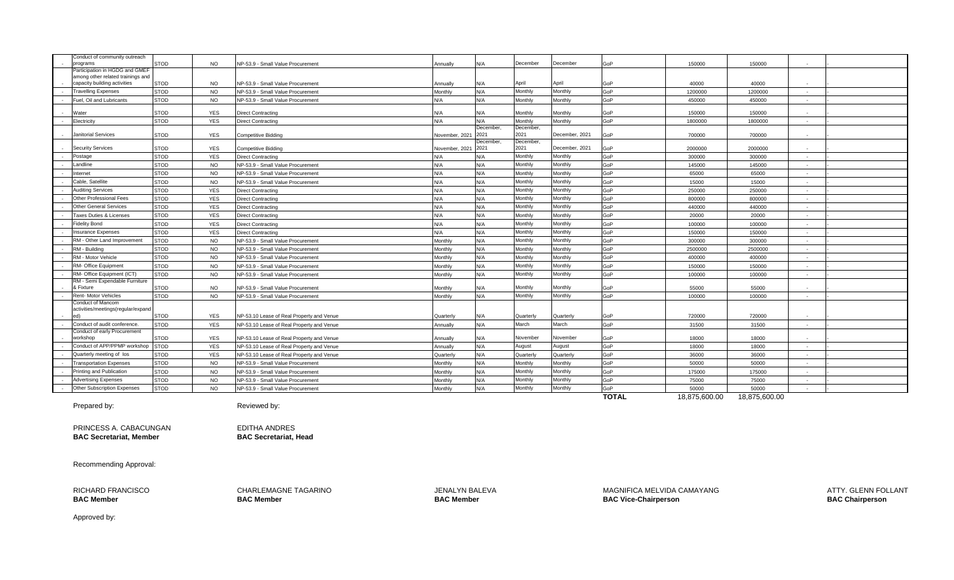| Conduct of community outreach                                       |             |            |                                           |                     |                   |                   |                |              |               |               |             |  |
|---------------------------------------------------------------------|-------------|------------|-------------------------------------------|---------------------|-------------------|-------------------|----------------|--------------|---------------|---------------|-------------|--|
| programs                                                            | <b>STOD</b> | <b>NO</b>  | NP-53.9 - Small Value Procurement         | Annually            | N/A               | December          | December       | GoP          | 150000        | 150000        | $\sim$      |  |
| Participation in HGDG and GMEF<br>among other related trainings and |             |            |                                           |                     |                   |                   |                |              |               |               |             |  |
| capacity building activities                                        | <b>STOD</b> | <b>NO</b>  | NP-53.9 - Small Value Procurement         | Annually            | N/A               | April             | April          | GoP          | 40000         | 40000         | <b>1979</b> |  |
| <b>Travelling Expenses</b>                                          | <b>STOD</b> | <b>NO</b>  | NP-53.9 - Small Value Procurement         | Monthly             | N/A               | Monthly           | Monthly        | GoP          | 1200000       | 1200000       | $\sim$      |  |
| Fuel, Oil and Lubricants                                            | <b>STOD</b> | <b>NO</b>  | NP-53.9 - Small Value Procurement         | N/A                 | N/A               | Monthly           | Monthly        | GoP          | 450000        | 450000        |             |  |
| Water                                                               | <b>STOD</b> | <b>YES</b> | <b>Direct Contracting</b>                 | N/A                 | N/A               | Monthly           | Monthly        | GoP          | 150000        | 150000        | . .         |  |
| Electricity                                                         | <b>STOD</b> | <b>YES</b> | Direct Contracting                        | N/A                 | N/A               | Monthly           | Monthly        | GoP          | 1800000       | 1800000       |             |  |
| Janitorial Services                                                 | <b>STOD</b> | <b>YES</b> | <b>Competitive Bidding</b>                | November, 2021      | December,<br>2021 | December,<br>2021 | December, 2021 | GoP          | 700000        | 700000        | $\sim$      |  |
|                                                                     |             |            |                                           |                     | December,         | December,         |                |              |               |               |             |  |
| <b>Security Services</b>                                            | <b>STOD</b> | <b>YES</b> | <b>Competitive Bidding</b>                | November, 2021 2021 |                   | 2021              | December, 2021 | GoP          | 2000000       | 2000000       | $\sim$      |  |
| Postage                                                             | <b>STOD</b> | <b>YES</b> | <b>Direct Contracting</b>                 | N/A                 | N/A               | Monthly           | Monthly        | GoP          | 300000        | 300000        | $\sim$      |  |
| Landline                                                            | <b>STOD</b> | <b>NO</b>  | NP-53.9 - Small Value Procurement         | N/A                 | N/A               | Monthly           | Monthly        | GoP          | 145000        | 145000        | $\sim$      |  |
| Internet                                                            | <b>STOD</b> | <b>NO</b>  | NP-53.9 - Small Value Procurement         | N/A                 | N/A               | Monthly           | Monthly        | GoP          | 65000         | 65000         | . .         |  |
| Cable, Satellite                                                    | <b>STOD</b> | <b>NO</b>  | NP-53.9 - Small Value Procurement         | N/A                 | N/A               | Monthly           | Monthly        | GoP          | 15000         | 15000         |             |  |
| <b>Auditing Services</b>                                            | <b>STOD</b> | <b>YES</b> | Direct Contracting                        | N/A                 | N/A               | Monthly           | Monthly        | GoP          | 250000        | 250000        | $\sim$      |  |
| Other Professional Fees                                             | <b>STOD</b> | <b>YES</b> | Direct Contracting                        | N/A                 | N/A               | Monthly           | Monthly        | GoP          | 800000        | 800000        | $\sim$      |  |
| <b>Other General Services</b>                                       | <b>STOD</b> | <b>YES</b> | <b>Direct Contracting</b>                 | N/A                 | N/A               | Monthly           | Monthly        | GoP          | 440000        | 440000        | $\sim$      |  |
| Taxes Duties & Licenses                                             | <b>STOD</b> | <b>YES</b> | <b>Direct Contracting</b>                 | N/A                 | N/A               | Monthly           | Monthly        | GoP          | 20000         | 20000         | $\sim$      |  |
| <b>Fidelity Bond</b>                                                | <b>STOD</b> | <b>YES</b> | Direct Contracting                        | N/A                 | N/A               | Monthly           | Monthly        | GoP          | 100000        | 100000        |             |  |
| <b>Insurance Expenses</b>                                           | <b>STOD</b> | <b>YES</b> | <b>Direct Contracting</b>                 | N/A                 | N/A               | Monthly           | Monthly        | GoP          | 150000        | 150000        | $\sim$      |  |
| RM - Other Land Improvement                                         | <b>STOD</b> | <b>NO</b>  | NP-53.9 - Small Value Procurement         | Monthly             | N/A               | Monthly           | Monthly        | GoP          | 300000        | 300000        | $\sim$      |  |
| RM - Building                                                       | <b>STOD</b> | <b>NO</b>  | NP-53.9 - Small Value Procurement         | Monthly             | N/A               | Monthly           | Monthly        | GoP          | 2500000       | 2500000       | $\sim$      |  |
| RM - Motor Vehicle                                                  | <b>STOD</b> | <b>NO</b>  | NP-53.9 - Small Value Procurement         | Monthly             | N/A               | Monthly           | Monthly        | GoP          | 400000        | 400000        | $\sim$      |  |
| RM- Office Equipment                                                | <b>STOD</b> | <b>NO</b>  | NP-53.9 - Small Value Procurement         | Monthly             | N/A               | Monthly           | Monthly        | GoP          | 150000        | 150000        |             |  |
| RM- Office Equipment (ICT)                                          | <b>STOD</b> | <b>NO</b>  | NP-53.9 - Small Value Procurement         | Monthly             | N/A               | Monthly           | Monthly        | GoP          | 100000        | 100000        | $\sim$      |  |
| RM - Semi Expendable Furniture                                      |             |            |                                           |                     |                   |                   |                |              |               |               |             |  |
| & Fixture                                                           | <b>STOD</b> | <b>NO</b>  | NP-53.9 - Small Value Procurement         | Monthly             | N/A               | Monthly           | Monthly        | GoP          | 55000         | 55000         | $\sim$      |  |
| Rent- Motor Vehicles<br>Conduct of Mancom                           | <b>STOD</b> | <b>NO</b>  | NP-53.9 - Small Value Procurement         | Monthly             | N/A               | Monthly           | Monthly        | GoP          | 100000        | 100000        | . .         |  |
| activities/meetings(regular/expand                                  |             |            |                                           |                     |                   |                   |                |              |               |               |             |  |
| ed)                                                                 | <b>STOD</b> | <b>YES</b> | NP-53.10 Lease of Real Property and Venue | Quarterly           | N/A               | Quarterly         | Quarterly      | GoP          | 720000        | 720000        | $\sim$      |  |
| Conduct of audit conference.                                        | <b>STOD</b> | <b>YES</b> | NP-53.10 Lease of Real Property and Venue | Annually            | N/A               | March             | March          | GoP          | 31500         | 31500         | $\sim$      |  |
| Conduct of early Procurement                                        |             |            |                                           |                     |                   |                   |                |              |               |               |             |  |
| workshop                                                            | <b>STOD</b> | <b>YES</b> | NP-53.10 Lease of Real Property and Venue | Annually            | N/A               | November          | November       | GoP          | 18000         | 18000         | $\sim$      |  |
| Conduct of APP/PPMP workshop                                        | <b>STOD</b> | <b>YES</b> | NP-53.10 Lease of Real Property and Venue | Annually            | N/A               | August            | August         | GoP          | 18000         | 18000         | $\sim$      |  |
| Quarterly meeting of los                                            | <b>STOD</b> | <b>YES</b> | NP-53.10 Lease of Real Property and Venue | Quarterly           | N/A               | Quarterly         | Quarterly      | GoP          | 36000         | 36000         | $\sim$      |  |
| <b>Transportation Expenses</b>                                      | <b>STOD</b> | <b>NO</b>  | NP-53.9 - Small Value Procurement         | Monthly             | N/A               | Monthly           | Monthly        | GoP          | 50000         | 50000         |             |  |
| Printing and Publication                                            | <b>STOD</b> | <b>NO</b>  | NP-53.9 - Small Value Procurement         | Monthly             | N/A               | Monthly           | Monthly        | GoP          | 175000        | 175000        | $\sim$      |  |
| <b>Advertising Expenses</b>                                         | <b>STOD</b> | <b>NO</b>  | NP-53.9 - Small Value Procurement         | Monthly             | N/A               | Monthly           | Monthly        | GoP          | 75000         | 75000         | $\sim$      |  |
| Other Subscription Expenses                                         | <b>STOD</b> | <b>NO</b>  | NP-53.9 - Small Value Procurement         | Monthly             | N/A               | Monthly           | Monthly        | GoP          | 50000         | 50000         |             |  |
|                                                                     |             |            |                                           |                     |                   |                   |                | <b>TOTAL</b> | 18.875.600.00 | 18.875.600.00 |             |  |

Prepared by: **Reviewed by:** Reviewed by:

PRINCESS A. CABACUNGAN EDITHA ANDRES **BAC Secretariat, Member BAC Secretariat, Head**

Recommending Approval:

RICHARD FRANCISCO CHARLEMAGNE TAGARINO JENALYN BALEVA JENALYN BALEVA MAGNIFICA MELVIDA CAMAYANG ATTY. GLENN FOLLANT<br>BAC Member BAC Member BAC Member BAC Member BAC Member BAC Member BAC Vice-Chairperson BAC Chairperson BAC **BAC Member BAC Member BAC Member BAC Vice-Chairperson BAC Chairperson**

Approved by: